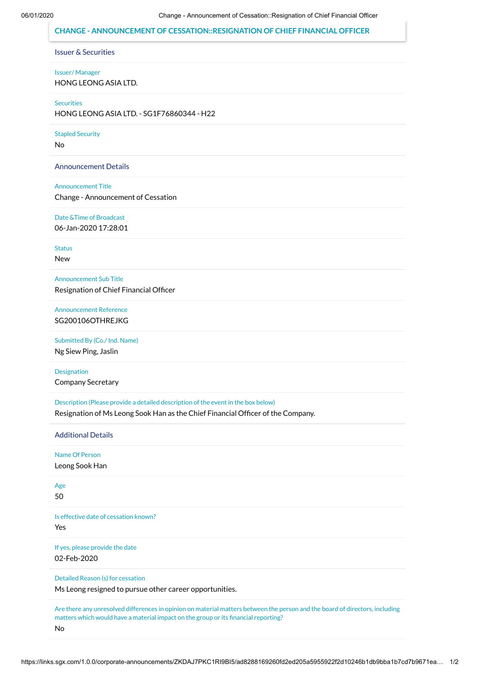## **CHANGE - ANNOUNCEMENT OF CESSATION::RESIGNATION OF CHIEF FINANCIAL OFFICER**

Issuer & Securities

Issuer/ Manager

HONG LEONG ASIA LTD.

**Securities** 

HONG LEONG ASIA LTD. - SG1F76860344 - H22

Stapled Security

No

Announcement Details

Announcement Title

Change - Announcement of Cessation

Date &Time of Broadcast 06-Jan-2020 17:28:01

**Status** New

Announcement Sub Title Resignation of Chief Financial Officer

Announcement Reference SG200106OTHREJKG

Submitted By (Co./ Ind. Name)

Ng Siew Ping, Jaslin

Designation Company Secretary

Description (Please provide a detailed description of the event in the box below)

Resignation of Ms Leong Sook Han as the Chief Financial Officer of the Company.

Additional Details

Name Of Person

Leong Sook Han

Age 50

Is effective date of cessation known?

Yes

If yes, please provide the date 02-Feb-2020

Detailed Reason (s) for cessation

Ms Leong resigned to pursue other career opportunities.

Are there any unresolved differences in opinion on material matters between the person and the board of directors, including matters which would have a material impact on the group or its financial reporting?

No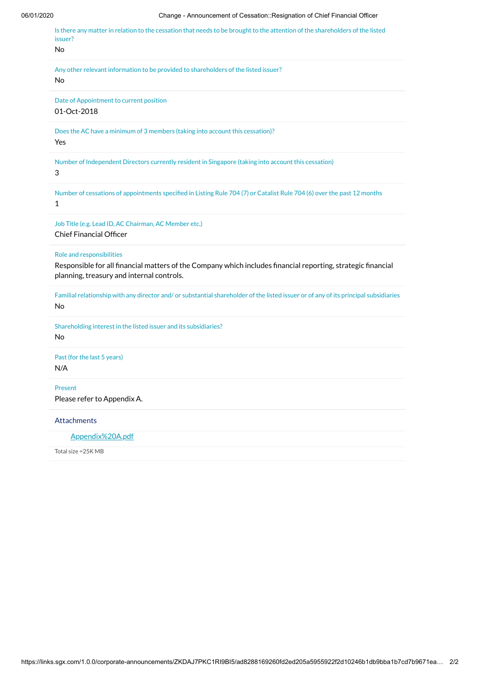06/01/2020 Change - Announcement of Cessation::Resignation of Chief Financial Officer Is there any matter in relation to the cessation that needs to be brought to the attention of the shareholders of the listed issuer? No Any other relevant information to be provided to shareholders of the listed issuer? No Date of Appointment to current position 01-Oct-2018 Does the AC have a minimum of 3 members (taking into account this cessation)? Yes Number of Independent Directors currently resident in Singapore (taking into account this cessation) 3 Number of cessations of appointments specified in Listing Rule 704 (7) or Catalist Rule 704 (6) over the past 12 months 1 Job Title (e.g. Lead ID, AC Chairman, AC Member etc.) Chief Financial Officer Role and responsibilities Responsible for all financial matters of the Company which includes financial reporting, strategic financial planning, treasury and internal controls. Familial relationship with any director and/ or substantial shareholder of the listed issuer or of any of its principal subsidiaries No Shareholding interest in the listed issuer and its subsidiaries? No Past (for the last 5 years) N/A Present Please refer to Appendix A. Attachments

[Appendix%20A.pdf](https://links.sgx.com/1.0.0/corporate-announcements/ZKDAJ7PKC1RI9BI5/Appendix%20A.pdf)

Total size =25K MB